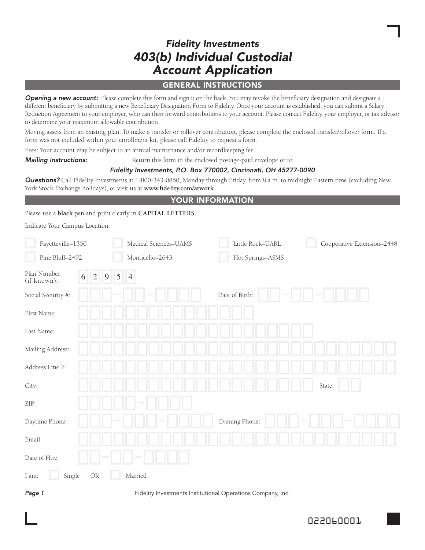# *Fidelity Investments 403(b) Individual Custodial Account Application*

#### general instructions

**Opening a new account:** Please complete this form and sign it on the back. You may revoke the beneficiary designation and designate a different beneficiary by submitting a new Beneficiary Designation Form to Fidelity. Once your account is established, you can submit a Salary Reduction Agreement to your employer, who can then forward contributions to your account. Please contact Fidelity, your employer, or tax advisor to determine your maximum allowable contribution.

Moving assets from an existing plan: To make a transfer or rollover contribution, please complete the enclosed transfer/rollover form. If a form was not included within your enrollment kit, please call Fidelity to request a form.

Fees: Your account may be subject to an annual maintenance and/or recordkeeping fee.

**Mailing instructions:** Return this form in the enclosed postage-paid envelope or to

# *Fidelity Investments, P.O. Box 770002, Cincinnati, OH 45277-0090*

*Questions?* Call Fidelity Investments at 1-800-343-0860, Monday through Friday, from 8 a.m. to midnight Eastern time (excluding New York Stock Exchange holidays), or visit us at **www.fidelity.com/atwork.**

#### your Information

Please use a **black** pen and print clearly in **CAPITAL LETTERS.**

Indicate Your Campus Location:

| Fayetteville-1350          |                  | Medical Sciences-UAMS                                                                    | Little Rock-UARL                     | Cooperative Extension-2448 |
|----------------------------|------------------|------------------------------------------------------------------------------------------|--------------------------------------|----------------------------|
| Pine Bluff-2492            |                  | Monticello-2643                                                                          | Hot Springs-ASMS                     |                            |
| Plan Number<br>(if known): | 5<br>2<br>9<br>6 | $\vert 4$                                                                                |                                      |                            |
| Social Security #:         |                  |                                                                                          | Date of Birth:                       |                            |
| First Name:                |                  |                                                                                          |                                      |                            |
| Last Name:                 |                  |                                                                                          |                                      |                            |
| Mailing Address:           |                  |                                                                                          |                                      |                            |
| Address Line 2:            |                  |                                                                                          |                                      |                            |
| City:                      |                  |                                                                                          |                                      | State:                     |
| ZIP:                       |                  |                                                                                          |                                      |                            |
| Daytime Phone:             |                  |                                                                                          | Evening Phone:                       |                            |
| Email:                     |                  |                                                                                          |                                      |                            |
| Date of Hire:              |                  |                                                                                          |                                      |                            |
| Single<br>I am:            | OR               | Married                                                                                  |                                      |                            |
| $\sim$ $\sim$              |                  | $-1$ , $-1$ , $-1$ , $-1$ , $-1$ , $-1$<br>the contract of the contract of the<br>$\sim$ | $\sim$<br>$\sim$<br>$\sim$<br>$\sim$ |                            |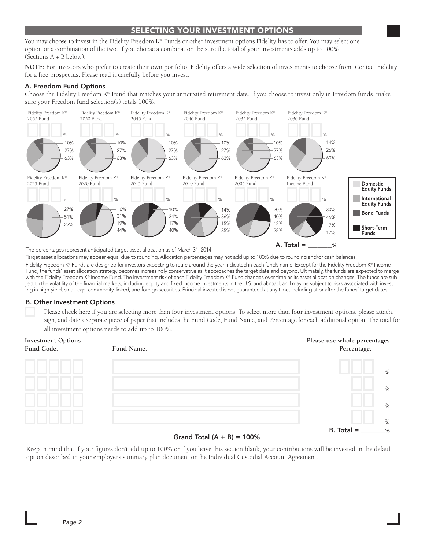# SELECTING YOUR Investment Options

You may choose to invest in the Fidelity Freedom K® Funds or other investment options Fidelity has to offer. You may select one option or a combination of the two. If you choose a combination, be sure the total of your investments adds up to 100% (Sections A + B below).

**NOTE:** For investors who prefer to create their own portfolio, Fidelity offers a wide selection of investments to choose from. Contact Fidelity for a free prospectus. Please read it carefully before you invest.

#### A. Freedom Fund Options

Choose the Fidelity Freedom K® Fund that matches your anticipated retirement date. If you choose to invest only in Freedom funds, make sure your Freedom fund selection(s) totals 100%.



The percentages represent anticipated target asset allocation as of March 31, 2014.

Target asset allocations may appear equal due to rounding. Allocation percentages may not add up to 100% due to rounding and/or cash balances. Fidelity Freedom K® Funds are designed for investors expecting to retire around the year indicated in each fund's name. Except for the Fidelity Freedom K® Income Fund, the funds' asset allocation strategy becomes increasingly conservative as it approaches the target date and beyond. Ultimately, the funds are expected to merge with the Fidelity Freedom K® Income Fund. The investment risk of each Fidelity Freedom K® Fund changes over time as its asset allocation changes. The funds are subject to the volatility of the financial markets, including equity and fixed income investments in the U.S. and abroad, and may be subject to risks associated with investing in high-yield, small-cap, commodity-linked, and foreign securities. Principal invested is not guaranteed at any time, including at or after the funds' target dates.

#### B. Other Investment Options

 Please check here if you are selecting more than four investment options. To select more than four investment options, please attach, sign, and date a separate piece of paper that includes the Fund Code, Fund Name, and Percentage for each additional option. The total for all investment options needs to add up to 100%.

#### **Investment Options Please use whole percentages Fund Code: Fund Name: Percentage:**



#### Grand Total  $(A + B) = 100\%$

Keep in mind that if your figures don't add up to 100% or if you leave this section blank, your contributions will be invested in the default option described in your employer's summary plan document or the Individual Custodial Account Agreement.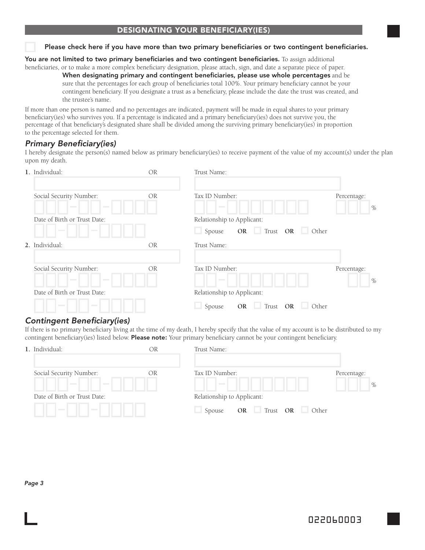# designating your beneficiary(ies)

#### Please check here if you have more than two primary beneficiaries or two contingent beneficiaries.

You are not limited to two primary beneficiaries and two contingent beneficiaries. To assign additional

beneficiaries, or to make a more complex beneficiary designation, please attach, sign, and date a separate piece of paper.

When designating primary and contingent beneficiaries, please use whole percentages and be sure that the percentages for each group of beneficiaries total 100%. Your primary beneficiary cannot be your contingent beneficiary. If you designate a trust as a beneficiary, please include the date the trust was created, and the trustee's name.

If more than one person is named and no percentages are indicated, payment will be made in equal shares to your primary beneficiary(ies) who survives you. If a percentage is indicated and a primary beneficiary(ies) does not survive you, the percentage of that beneficiary's designated share shall be divided among the surviving primary beneficiary(ies) in proportion to the percentage selected for them.

## *Primary Beneficiary(ies)*

I hereby designate the person(s) named below as primary beneficiary(ies) to receive payment of the value of my account(s) under the plan upon my death.

| 1. Individual:                                                | <b>OR</b> | Trust Name:                                             |                     |
|---------------------------------------------------------------|-----------|---------------------------------------------------------|---------------------|
| Social Security Number:<br><b>Contract</b><br><b>Contract</b> | <b>OR</b> | Tax ID Number:<br><b>Contract Contract</b>              | Percentage:<br>$\%$ |
| Date of Birth or Trust Date:                                  |           | Relationship to Applicant:                              |                     |
| <b>Contract</b><br><b>Contract</b>                            |           | OR Trust OR Other<br>Spouse                             |                     |
| 2. Individual:                                                | <b>OR</b> | Trust Name:                                             |                     |
| Social Security Number:<br><b>Contract</b><br><b>Contract</b> | <b>OR</b> | Tax ID Number:<br><b>Contract Contract</b>              | Percentage:<br>$\%$ |
| Date of Birth or Trust Date:                                  |           | Relationship to Applicant:                              |                     |
| <b>Contract</b><br><b>Contract</b>                            |           | Trust OR<br><b>OR</b><br>Other<br><b>COLL</b><br>Spouse |                     |

#### *Contingent Beneficiary(ies)*

If there is no primary beneficiary living at the time of my death, I hereby specify that the value of my account is to be distributed to my contingent beneficiary(ies) listed below. **Please note:** Your primary beneficiary cannot be your contingent beneficiary.

| OR | Trust Name:                                               |             |      |
|----|-----------------------------------------------------------|-------------|------|
| OR | Tax ID Number:<br><b>Contract Contract</b>                | Percentage: | $\%$ |
|    | Relationship to Applicant:<br>OR Trust OR Other<br>Spouse |             |      |
|    |                                                           |             |      |